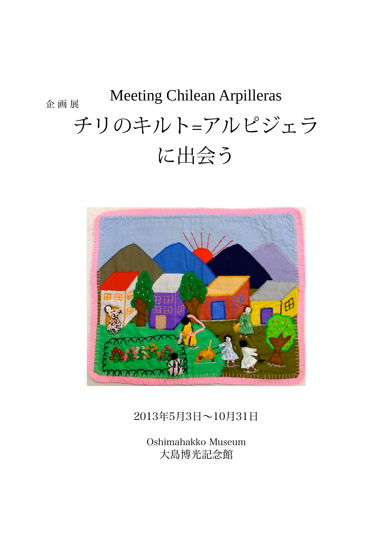# 企 画 展 チリのキルト=アルピジェラ に出会う Meeting Chilean Arpilleras



# 2013年5月3日~10月31日

Oshimahakko Museum 大島博光記念館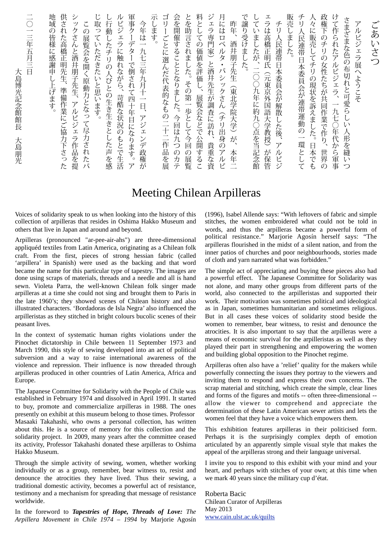| 大島博光記念館館長<br>大島朋光                            |
|----------------------------------------------|
| 三年<br>五月三日                                   |
| 地域の皆様に感謝申し上げます。                              |
| 供された高橋正明先生、準備作業にご協力下さっ<br>$\overline{1}$     |
| シ<br>ックさんと酒井朋子先生、アルピジェラ作品を提                  |
| この展覧会を開く原動力となって尽力されたバ                        |
| じ取っ<br>ていただきたいと思います。                         |
| し行動したチリの人びとの生き生きとした声を感                       |
| ルピジェラに触れながら、苛酷な状況のもとで生活                      |
| 軍事ク<br>ーデターで倒されて四十年目になります。<br>$\overline{y}$ |
| 今年は一九七三年九月十一日、アジェンデ政権が                       |
| 示します                                         |
| ゴリ<br>ごとに選んだ代表的なもの二十二作品を展                    |
| 会を開催することとなりました。今回は九つのカテ                      |
| とを助言されました。その第一歩として今回の展覧                      |
| 料としての価値を評価し、展覧会などで公開するこ                      |
| ジェラ専門家)と酒井先生が調査に訪れ、<br>貴重な資                  |
| 月にはロベ<br>ルタ・バシックさん(チリ出身のアルピ                  |
| 昨年、<br>酒井朋子先生<br>(東北学院大学)が<br>一本<br>车二       |
| で譲り受けました。                                    |
| していましたが、二○○九年に約九○点を当記念館                      |
| ェラは高橋正明氏(元東京外国語大学教授)が保管                      |
| チ<br>リ人民連帯日本委員会が解散した後、アルピジ                   |
| 販売しました。                                      |
| チリ<br>人民連帯日本委員会が連帯運動の一環として                   |
| 人々に販売してチリの現状を訴えました。<br>日本でも                  |
| 政権下のチリの女性たちが共同作業で作り、<br>世界の                  |
| けて作られたアルピジェラ、一九七○年代から軍事                      |
| さまざまな色の布切れと可愛らしい人形を縫いつ                       |
| アルピジェラ展へようこそ                                 |
| ごあいさつ                                        |

# Meeting Chilean Arpilleras

Voices of solidarity speak to us when looking into the history of this collection of arpilleras that resides in Oshima Hakko Museum and others that live in Japan and around and beyond.

Arpilleras (pronounced "ar-pee-air-ahs") are three-dimensional appliquéd textiles from Latin America, originating as a Chilean folk craft. From the first, pieces of strong hessian fabric (called 'arpillera' in Spanish) were used as the backing and that word became the name for this particular type of tapestry. The images are done using scraps of materials, threads and a needle and all is hand sewn. Violeta Parra, the well-known Chilean folk singer made arpilleras at a time she could not sing and brought them to Paris in the late 1960's; they showed scenes of Chilean history and also illustrated characters. 'Bordadoras de Isla Negra' also influenced the arpilleristas as they stitched in bright colours bucolic scenes of their peasant lives.

In the context of systematic human rights violations under the Pinochet dictatorship in Chile between 11 September 1973 and March 1990, this style of sewing developed into an act of political subversion and a way to raise international awareness of the violence and repression. Their influence is now threaded through arpilleras produced in other countries of Latin America, Africa and Europe.

The Japanese Committee for Solidarity with the People of Chile was established in February 1974 and dissolved in April 1991. It started to buy, promote and commercialize arpilleras in 1988. The ones presently on exhibit at this museum belong to those times. Professor Masaaki Takahashi, who owns a personal collection, has written about this. He is a source of memory for this collection and the solidarity project. In 2009, many years after the committee ceased its activity, Professor Takahashi donated these arpilleras to Oshima Hakko Museum.

Through the simple activity of sewing, women, whether working individually or as a group, remember, bear witness to, resist and denounce the atrocities they have lived. Thus their sewing, a traditional domestic activity, becomes a powerful act of resistance, testimony and a mechanism for spreading that message of resistance worldwide.

In the foreword to *Tapestries of Hope, Threads of Love: The Arpillera Movement in Chile 1974 – 1994* by Marjorie Agosín (1996), Isabel Allende says: "With leftovers of fabric and simple stitches, the women embroidered what could not be told in words, and thus the arpilleras became a powerful form of political resistance." Marjorie Agosín herself says: "The arpilleras flourished in the midst of a silent nation, and from the inner patios of churches and poor neighbourhoods, stories made of cloth and yarn narrated what was forbidden."

The simple act of appreciating and buying these pieces also had a powerful effect. The Japanese Committee for Solidarity was not alone, and many other groups from different parts of the world, also connected to the arpilleristas and supported their work. Their motivation was sometimes political and ideological as in Japan, sometimes humanitarian and sometimes religious. But in all cases these voices of solidarity stood beside the women to remember, bear witness, to resist and denounce the atrocities. It is also important to say that the arpilleras were a means of economic survival for the arpilleristas as well as they played their part in strengthening and empowering the women and building global opposition to the Pinochet regime.

Arpilleras often also have a 'relief' quality for the makers while powerfully connecting the issues they portray to the viewers and inviting them to respond and express their own concerns. The scrap material and stitching, which create the simple, clear lines and forms of the figures and motifs -- often three-dimensional - allow the viewer to comprehend and appreciate the determination of these Latin American sewer artists and lets the women feel that they have a voice which empowers them.

This exhibition features arpilleras in their politicised form. Perhaps it is the surprisingly complex depth of emotion articulated by an apparently simple visual style that makes the appeal of the arpilleras strong and their language universal.

I invite you to respond to this exhibit with your mind and your heart, and perhaps with stitches of your own; at this time when we mark 40 years since the military cup d'état.

Roberta Bacic Chilean Curator of Arpilleras May 2013 www.cain.ulst.ac.uk/quilts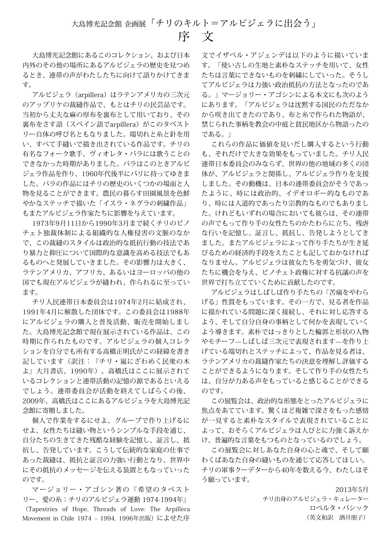大島博光記念館にあるこのコレクション、および日本 内外のその他の場所にあるアルピジェラの歴史を見つめ るとき、連帯の声がわたしたちに向けて語りかけてきま す。

アルピジェラ(arpillera)はラテンアメリカの三次元 のアップリケの裁縫作品で、もとはチリの民芸品です。 当初から丈夫な麻の厚布を裏布として用いており、その 裏布をさす語(スペイン語でarpillera)がこのタペスト リー自体の呼び名ともなりました。端切れと糸と針を用 い、すべて手縫いで描き出されている作品です。チリの 有名なフォーク歌手、ヴィオレタ・パラには歌うことの できなかった時期がありました。パラはこのときアルピ ジェラ作品を作り、1960年代後半にパリに持ってゆきま した。パラの作品にはチリの歴史のいくつかの場面と人 物を見ることができます。農民の暮らす田園風景を色鮮 やかなステッチで描いた「イスラ・ネグラの刺繍作品」 もまたアルピジェラ作家たちに影響を与えています。

1973年9月11日から1990年3月まで続くチリのピノ チェト独裁体制による組織的な人権侵害の文脈のなか で、この裁縫のスタイルは政治的な抵抗行動の技法であ り暴力と抑圧について国際的な意識を高める技法でもあ るものへと発展していきました。その影響力は大きく、 ラテンアメリカ、アフリカ、あるいはヨーロッパの他の 国でも現在アルピジェラが縫われ、作られるに至ってい ます。

チリ人民連帯日本委員会は1974年2月に結成され、 1991年4月に解散した団体です。この委員会は1988年 にアルピジェラの購入と普及活動、販売を開始しまし た。大島博光記念館で現在展示されている作品は、この 時期に作られたものです。アルピジェラの個人コレク ションを自分でも所有する高橋正明氏がこの経緯を書き 記しています(訳注:『チリ・嵐にざわめく民衆の木 よ』大月書店、1990年)。高橋氏はここに展示されて いるコレクションと連帯活動の記憶の源であるといえる でしょう。連帯委員会が活動を終えてしばらくの後、 2009年、高橋氏はここにあるアルピジェラを大島博光記 念館に寄贈しました。

個人で作業をするにせよ、グループで作り上げるに せよ、女性たちは縫い物というシンプルな手段を通じ、 自分たちの生きてきた残酷な経験を記憶し、証言し、抵 抗し、告発しています。こうして伝統的な家庭の仕事で あった裁縫は、抵抗と証言の力強い行動となり、世界中 にその抵抗のメッセージを伝える装置ともなっていった のです。

マージョリー・アゴシン著の『希望のタペスト リー、愛の糸:チリのアルピジェラ運動 1974-1994年』

(Tapestries of Hope, Threads of Love: The Arpillera Movement in Chile 1974 - 1994, 1996年出版) によせた序

文でイザベル・アジェンデは以下のように描いていま す。「使い古しの生地と素朴なステッチを用いて、女性 たちは言葉にできないものを刺繍にしていった。そうし てアルピジェラは力強い政治抵抗の方法となったのであ る。」マージョリー・アゴシンによる本文にも次のよう にあります。「アルピジェラは沈黙する国民のただなか から咲き出てきたのであり、布と糸で作られた物語が、 禁じられた事柄を教会の中庭と貧民地区から物語ったの である。」

これらの作品に価値を見いだし購入するという行動 も、それだけで大きな効果をもっていました。チリ人民 連帯日本委員会のみならず、世界の他の地域の多くの団 体が、アルピジェラと関係し、アルピジェラ作りを支援 しました。その動機は、日本の連帯委員会がそうであっ たように、時には政治的、イデオロギー的なものであ り、時には人道的であったり宗教的なものでもありまし た。けれどもいずれの場合においても彼らは、その連帯 の声でもって作り手の女性たちのかたわらに立ち、残虐 な行いを記憶し、証言し、抵抗し、告発しようとしてき ました。またアルピジェラによって作り手たちが生き延 びるための経済的手段をえたことも記しておかなければ なりません。アルピジェラは彼女たちを勇気づけ、彼女 たちに機会を与え、ピノチェト政権に対する抗議の声を 世界で打ち立てていくために貢献したのです。

アルピジェラはしばしば作り手たちの「苦痛をやわら げる」性質をもっています。その一方で、見る者を作品 に描かれている問題に深く接続し、それに対し応答する よう、そして自分自身の事柄として何かを表現していく よう導きます。素朴ではっきりとした輪郭と形状の人物 やモチーフ–しばしば三次元で表現されます–を作り上 げている端切れとステッチによって、作品を見る者は、 ラテンアメリカの裁縫作家たちの決意を理解し評価する ことができるようになります。そして作り手の女性たち は、自分が力ある声をもっていると感じることができる のです。

この展覧会は、政治的な形態をとったアルピジェラに 焦点をあてています。驚くほど複雑で深さをもった感情 が一見すると素朴なスタイルで表現されていることに よって、おそらくアルピジェラは人びとに力強く訴えか け、普遍的な言葉をもつものとなっているのでしょう。

この展覧会に対しあなた自身の心と魂で、そして願 わくばあなた自身の縫いものを通じて応答してほしい。 チリの軍事クーデターから40年を数える今、わたしはそ う願っています。

> 2013年5月 チリ出身のアルピジェラ・キュレーター ロベルタ・バシック (英文和訳 酒井朋子)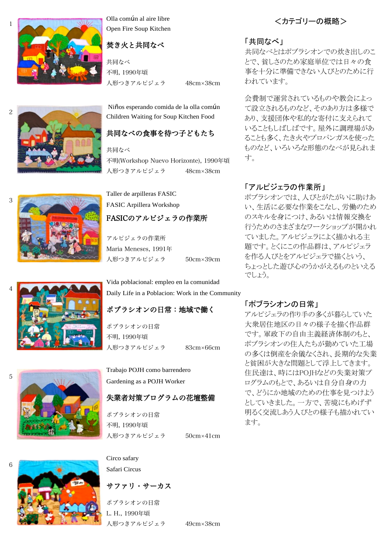

1

2

3

Olla común al aire libre Open Fire Soup Kitchen

### 焚き火と共同なべ

人形つきアルピジェラ 48cm×38cm 共同なべ 不明, 1990年頃

 Niños esperando comida de la olla común Children Waiting for Soup Kitchen Food

# 共同なべの食事を待つ子どもたち

人形つきアルピジェラ 48cm×38cm 共同なべ 不明(Workshop Nuevo Horizonte), 1990年頃

Taller de arpilleras FASIC FASIC Arpillera Workshop

# FASICのアルピジェラの作業所

人形つきアルピジェラ 50cm×39cm アルピジェラの作業所 Maria Meneses, 1991年

Vida poblacional: empleo en la comunidad Daily Life in a Poblacion: Work in the Community

# ポブラシオンの日常:地域で働く

人形つきアルピジェラ 83cm×66cm ポブラシオンの日常 不明, 1990年頃

Trabajo POJH como barrendero Gardening as a POJH Worker

# 失業者対策プログラムの花壇整備

人形つきアルピジェラ 50cm×41cm ポブラシオンの日常 不明, 1990年頃

#### Circo safary

Safari Circus

サファリ・サーカス

人形つきアルピジェラ 49cm×38cm ポブラシオンの日常 L. H., 1990年頃

<カテゴリーの概略>

#### 「共同なべ」

共同なべとはポブラシオンでの炊き出しのこ とで、貧しさのため家庭単位では日々の食 事を十分に準備できない人びとのために行 われています。

会費制で運営されているものや教会によっ て設立されるものなど、そのあり方は多様で あり、支援団体や私的な寄付に支えられて いることもしばしばです。屋外に調理場があ ることも多く、たき火やプロパンガスを使った ものなど、いろいろな形態のなべが見られま す。

### 「アルピジェラの作業所」

ポブラシオンでは、人びとがたがいに助けあ い、生活に必要な作業をこなし、労働のため のスキルを身につけ、あるいは情報交換を 行うためのさまざまなワークショップが開かれ ていました。アルピジェラによく描かれる主 題です。とくにこの作品群は、アルピジェラ を作る人びとをアルピジェラで描くという、 ちょっとした遊び心のうかがえるものといえる でしょう。

#### 「ポブラシオンの日常」

アルピジェラの作り手の多くが暮らしていた 大衆居住地区の日々の様子を描く作品群 です。軍政下の自由主義経済体制のもと、 ポブラシオンの住人たちが勤めていた工場 の多くは倒産を余儀なくされ、長期的な失業 と貧困が大きな問題として浮上してきます。 住民達は、時にはPOJHなどの失業対策プ ログラムのもとで、あるいは自分自身の力 で、どうにか地域のための仕事を見つけよう としていきました。一方で、苦境にもめげず 明るく交流しあう人びとの様子も描かれてい ます。





6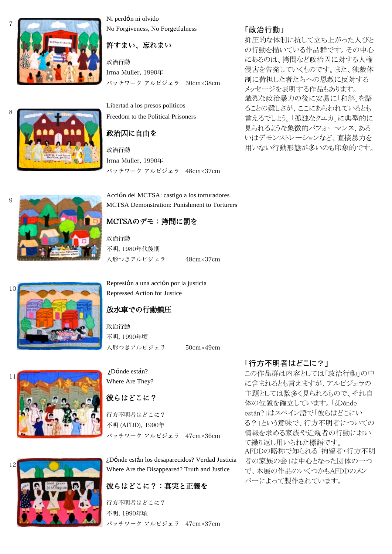

Ni perdón ni olvido No Forgiveness, No Forgetfulness

### 許すまい、忘れまい

パッチワーク アルピジェラ 50cm×38cm 政治行動 Irma Muller, 1990年

Libertad a los presos politicos Freedom to the Political Prisoners

# 政治囚に自由を

パッチワーク アルピジェラ 48cm×37cm 政治行動 Irma Muller, 1990年

Acción del MCTSA: castigo a los torturadores MCTSA Demonstration: Punishment to Torturers

# MCTSAのデモ:拷問に罰を

人形つきアルピジェラ 48cm×37cm 政治行動 不明, 1980年代後期

Represión a una acción por la justicia Repressed Action for Justice

# 放水車での行動鎮圧

人形つきアルピジェラ 50cm×49cm 政治行動 不明, 1990年頃



¿Dónde están? Where Are They?

# 彼らはどこに?

パッチワーク アルピジェラ 47cm×36cm 行方不明者はどこに? 不明 (AFDD), 1990年

¿Dónde están los desaparecidos? Verdad Justicia Where Are the Disappeared? Truth and Justice

# 彼らはどこに?:真実と正義を

パッチワーク アルピジェラ 47cm×37cm 行方不明者はどこに? 不明, 1990年頃

### 「政治行動」

抑圧的な体制に抗して立ち上がった人びと の行動を描いている作品群です。その中心 にあるのは、拷問など政治囚に対する人権 侵害を告発していくものです。また、独裁体 制に荷担した者たちへの恩赦に反対する メッセージを表明する作品もあります。 熾烈な政治暴力の後に安易に「和解」を語 ることの難しさが、ここにあらわれているとも 言えるでしょう。「孤独なクエカ」に典型的に 見られるような象徴的パフォーマンス、ある いはデモンストレーションなど、直接暴力を 用いない行動形態が多いのも印象的です。



この作品群は内容としては「政治行動」の中 に含まれるとも言えますが、アルピジェラの 主題としては数多く見られるもので、それ自 体の位置を確立しています。「¿Dónde están?」はスペイン語で「彼らはどこにい る?」という意味で、行方不明者についての 情報を求める家族や近親者の行動におい て繰り返し用いられた標語です。 AFDDの略称で知られる「拘留者・行方不明 者の家族の会」は中心となった団体の一つ で、本展の作品のいくつかもAFDDのメン バーによって製作されています。





8

9

12

7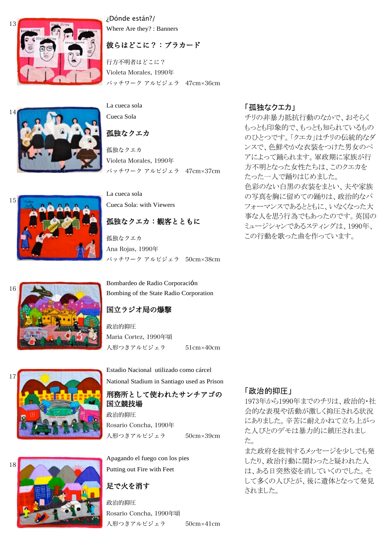

¿Dónde están?/ Where Are they? : Banners

### 彼らはどこに?:プラカード

パッチワーク アルピジェラ 47cm×36cm 行方不明者はどこに? Violeta Morales, 1990年

14

La cueca sola Cueca Sola

孤独なクエカ

パッチワーク アルピジェラ 47cm×37cm 孤独なクエカ Violeta Morales, 1990年

# La cueca sola

Cueca Sola: with Viewers

# 孤独なクエカ:観客とともに

パッチワーク アルピジェラ 50cm×38cm 孤独なクエカ Ana Rojas, 1990年

16

15



Bombardeo de Radio Corporación Bombing of the State Radio Corporation

# 国立ラジオ局の爆撃

人形つきアルピジェラ 51cm×40cm 政治的抑圧 Maria Cortez, 1990年頃

Estadio Nacional utilizado como cárcel National Stadium in Santiago used as Prison

# 刑務所として使われたサンチアゴの 国立競技場

人形つきアルピジェラ 50cm×39cm Rosario Concha, 1990年

Apagando el fuego con los pies Putting out Fire with Feet

# 足で火を消す

人形つきアルピジェラ 50cm×41cm 政治的抑圧 Rosario Concha, 1990年頃

# のひとつです。「クエカ」はチリの伝統的なダ

「孤独なクエカ」

ンスで、色鮮やかな衣装をつけた男女のペ アによって踊られます。軍政期に家族が行 方不明となった女性たちは、このクエカを たった一人で踊りはじめました。 色彩のない白黒の衣装をまとい、夫や家族 の写真を胸に留めての踊りは、政治的なパ フォーマンスであるとともに、いなくなった大 事な人を思う行為でもあったのです。英国の ミュージシャンであるスティングは、1990年、 この行動を歌った曲を作っています。

チリの非暴力抵抗行動のなかで、おそらく もっとも印象的で、もっとも知られているもの

# 「政治的抑圧」

1973年から1990年までのチリは、政治的・社 会的な表現や活動が激しく抑圧される状況 にありました。辛苦に耐えかねて立ち上がっ た人びとのデモは暴力的に鎮圧されまし た。

また政府を批判するメッセージを少しでも発 したり、政治行動に関わったと疑われた人 は、ある日突然姿を消していくのでした。そ して多くの人びとが、後に遺体となって発見 されました。

政治的抑圧



17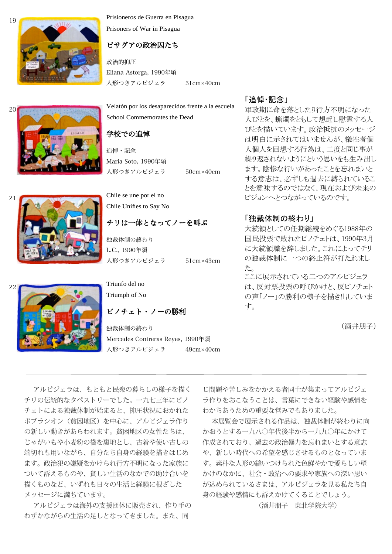

Prisioneros de Guerra en Pisagua Prisoners of War in Pisagua

### ピサグアの政治囚たち

人形つきアルピジェラ 51cm×40cm 政治的抑圧 Eliana Astorga, 1990年頃

Velatón por los desaparecidos frente a la escuela School Commemorates the Dead

#### 学校での追悼

人形つきアルピジェラ 50cm×40cm 追悼・記念 María Soto, 1990年頃

21

20



Chile se une por el no Chile Unifies to Say No

### チリは一体となってノーを叫ぶ

人形つきアルピジェラ 51cm×43cm 独裁体制の終わり L.C., 1990年頃

22



Triunfo del no Triumph of No

ピノチェト・ノーの勝利

人形つきアルピジェラ 49cm×40cm 独裁体制の終わり Mercedes Contreras Reyes, 1990年頃

#### 「追悼・記念」

軍政期に命を落としたり行方不明になった 人びとを、蝋燭をともして想起し慰霊する人 びとを描いています。政治抵抗のメッセージ は明白に示されてはいませんが、犠牲者個 人個人を回想する行為は、二度と同じ事が 繰り返されないようにという思いをも生み出し ます。陰惨な行いがあったことを忘れまいと する意志は、必ずしも過去に縛られているこ とを意味するのではなく、現在および未来の ビジョンへとつながっているのです。

#### 「独裁体制の終わり」

大統領としての任期継続をめぐる1988年の 国民投票で敗れたピノチェトは、1990年3月 に大統領職を辞しました。これによってチリ の独裁体制に一つの終止符が打たれまし た。 ここに展示されている二つのアルピジェラ

は、反対票投票の呼びかけと、反ピノチェト の声「ノー」の勝利の様子を描き出していま す。

(酒井朋子)

アルピジェラは、もともと民衆の暮らしの様子を描く チリの伝統的なタペストリーでした。一九七三年にピノ チェトによる独裁体制が始まると、抑圧状況におかれた ポブラシオン(貧困地区)を中心に、アルピジェラ作り の新しい動きがあらわれます。貧困地区の女性たちは、 じゃがいもや小麦粉の袋を裏地とし、古着や使い古しの 端切れも用いながら、自分たち自身の経験を描きはじめ ます。政治犯の嫌疑をかけられ行方不明になった家族に ついて訴えるものや、貧しい生活のなかでの助け合いを 描くものなど、いずれも日々の生活と経験に根ざした メッセージに満ちています。

アルピジェラは海外の支援団体に販売され、作り手の わずかながらの生活の足しとなってきました。また、同

じ問題や苦しみをかかえる者同士が集まってアルピジェ ラ作りをおこなうことは、言葉にできない経験や感情を わかちあうための重要な営みでもありました。

本展覧会で展示される作品は、独裁体制が終わりに向 かおうとする一九八〇年代後半から一九九〇年にかけて 作成されており、過去の政治暴力を忘れまいとする意志 や、新しい時代への希望を感じさせるものとなっていま す。素朴な人形の縫いつけられた色鮮やかで愛らしい壁 かけのなかに、社会・政治への要求や家族への深い思い が込められているさまは、アルピジェラを見る私たち自 身の経験や感情にも訴えかけてくることでしょう。

(酒井朋子 東北学院大学)